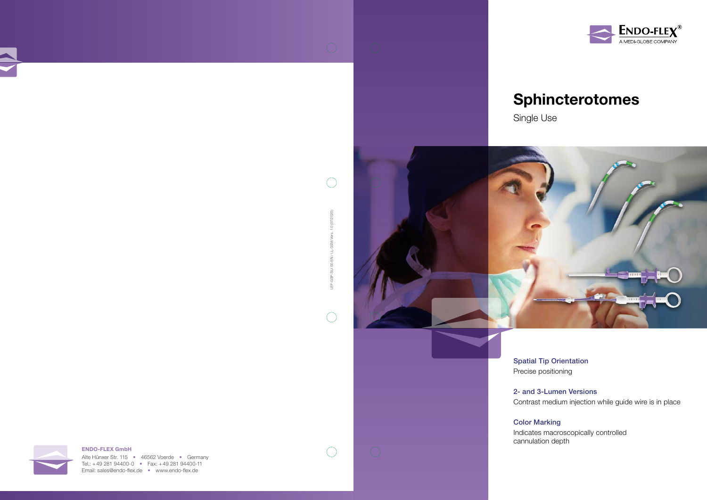

Alte Hünxer Str. 115 • 46562 Voerde • Germany Tel.: +49 281 94400-0 • Fax: +49 281 94400-11 Email: sales@endo-flex.de • www.endo-flex.de



LEF-GSP-SU-00-EN / LL-0336 Vers. 1.0 (07/2020)

SU-00-EN / LL-0336

GSP. 凷

 $\bigcap$ 

 $\bigcirc$ 

 $(07/2020)$  $\frac{1}{2}$ /ers.

 $\bigcap$ 

## Sphincterotomes







Spatial Tip Orientation Precise positioning

2- and 3-Lumen Versions Contrast medium injection while guide wire is in place

Color Marking

Indicates macroscopically controlled cannulation depth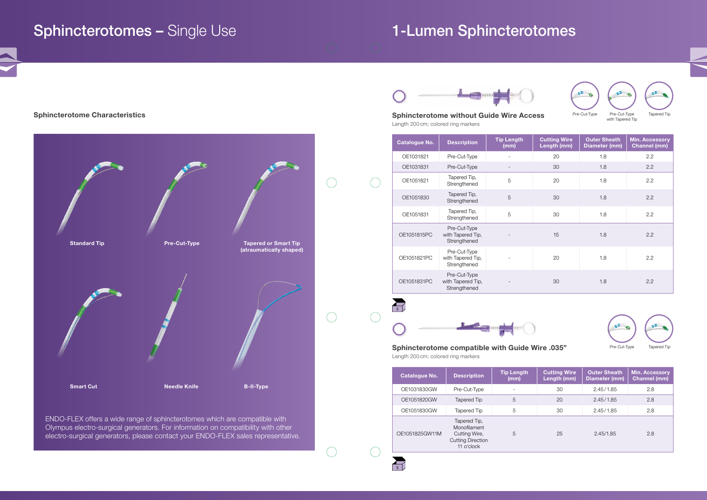ENDO-FLEX offers a wide range of sphincterotomes which are compatible with Olympus electro-surgical generators. For information on compatibility with other electro-surgical generators, please contact your ENDO-FLEX sales representative.

Sphincterotome Characteristics **Sphincterotome without Guide Wire Access** Sphincterotome without Guide Wire Access Length 200 cm; colored ring markers

 $\bigcap$ 

 $\subset$ 

 $\overline{\mathcal{L}}$ 

 $\mathbb{R}^2$ 

Sphincterotome compatible with Guide Wire .035" Length 200 cm; colored ring markers







| <b>Catalogue No.</b> | <b>Description</b>                                | <b>Tip Length</b><br>(mm) | <b>Cutting Wire</b><br>Length (mm) | <b>Outer Sheath</b><br>Diameter (mm) | <b>Min. Accessory</b><br><b>Channel (mm)</b> |
|----------------------|---------------------------------------------------|---------------------------|------------------------------------|--------------------------------------|----------------------------------------------|
| OE1031821            | Pre-Cut-Type                                      |                           | 20                                 | 1.8                                  | 2.2                                          |
| OE1031831            | Pre-Cut-Type                                      |                           | 30                                 | 1.8                                  | 2.2                                          |
| OE1051821            | Tapered Tip,<br>Strengthened                      | 5                         | 20                                 | 1.8                                  | 2.2                                          |
| OE1051830            | Tapered Tip,<br>Strengthened                      | 5                         | 30                                 | 1.8                                  | 2.2                                          |
| OE1051831            | Tapered Tip,<br>Strengthened                      | 5                         | 30                                 | 1.8                                  | 2.2                                          |
| OE1051815PC          | Pre-Cut-Type<br>with Tapered Tip,<br>Strengthened |                           | 15                                 | 1.8                                  | 2.2                                          |
| OE1051821PC          | Pre-Cut-Type<br>with Tapered Tip,<br>Strengthened |                           | 20                                 | 1.8                                  | 2.2                                          |
| OE1051831PC          | Pre-Cut-Type<br>with Tapered Tip,<br>Strengthened |                           | 30                                 | 1.8                                  | 2.2                                          |
|                      |                                                   |                           |                                    |                                      |                                              |

| Catalogue No.  | <b>Description</b>                                                                      | <b>Tip Length</b><br>(mm) | <b>Cutting Wire</b><br>Length (mm) | <b>Outer Sheath</b><br>Diameter (mm) | <b>Min. Accessory</b><br><b>Channel (mm)</b> |
|----------------|-----------------------------------------------------------------------------------------|---------------------------|------------------------------------|--------------------------------------|----------------------------------------------|
| OE1031830GW    | Pre-Cut-Type                                                                            |                           | 30                                 | 2.45/1.85                            | 2.8                                          |
| OE1051820GW    | Tapered Tip                                                                             | 5                         | 20                                 | 2.45/1.85                            | 2.8                                          |
| OE1051830GW    | Tapered Tip                                                                             | 5                         | 30                                 | 2.45/1.85                            | 2.8                                          |
| OE1051825GW11M | Tapered Tip,<br>Monofilament<br>Cutting Wire,<br><b>Cutting Direction</b><br>11 o'clock | 5                         | 25                                 | 2.45/1.85                            | 2.8                                          |







### Sphincterotomes – Single Use 1-Lumen Sphincterotomes

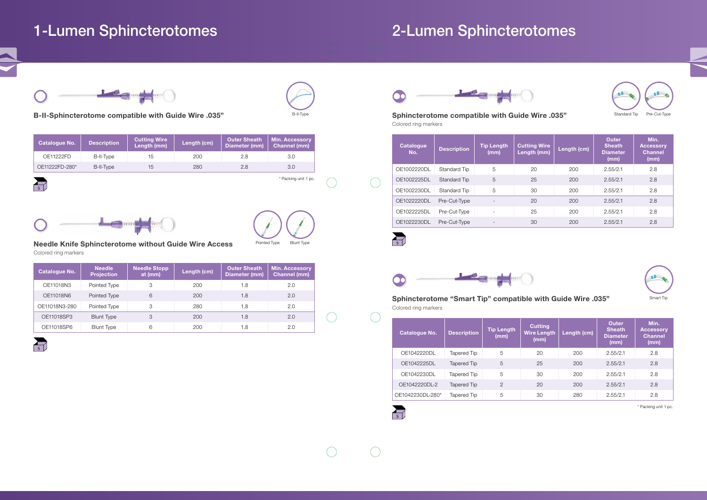### 1-Lumen Sphincterotomes 2-Lumen Sphincterotomes



### B-II-Sphincterotome compatible with Guide Wire .035"

### Needle Knife Sphincterotome without Guide Wire Access Colored ring markers

Sphincterotome compatible with Guide Wire .035" Colored ring markers

Sphincterotome "Smart Tip" compatible with Guide Wire .035" Colored ring markers

\* Packing unit 1 pc.

\* Packing unit 1 pc.

Pointed Type

B-II-Typ



 $\sum_{s}$ 

 $\sum_{s}$ 

Blunt Type





| Catalogue No.  | <b>Description</b> | <b>Cutting Wire</b><br>Length (mm) | Length (cm) | Outer Sheath<br>Diameter (mm) | <b>Min. Accessory</b><br><b>Channel (mm)</b> |
|----------------|--------------------|------------------------------------|-------------|-------------------------------|----------------------------------------------|
| OE11222FD      | B-II-Type          | 15                                 | 200         | 2.8                           | 3.0                                          |
| OE11222FD-280* | B-II-Type          | 15                                 | 280         | 2.8                           | 3.0                                          |

| <b>Catalogue No.</b> | <b>Needle</b><br><b>Projection</b> | <b>Needle Stopp</b><br>at (mm) | Length (cm) | <b>Outer Sheath</b><br>Diameter (mm) | <b>Min. Accessory</b><br><b>Channel (mm)</b> |
|----------------------|------------------------------------|--------------------------------|-------------|--------------------------------------|----------------------------------------------|
| OE11018N3            | Pointed Type                       | 3                              | 200         | 1.8                                  | 2.0                                          |
| OE11018N6            | Pointed Type                       | 6                              | 200         | 1.8                                  | 2.0                                          |
| OE11018N3-280        | Pointed Type                       | 3                              | 280         | 1.8                                  | 2.0                                          |
| OE11018SP3           | <b>Blunt Type</b>                  | 3                              | 200         | 1.8                                  | 2.0                                          |
| OE11018SP6           | <b>Blunt Type</b>                  | 6                              | 200         | 1.8                                  | 2.0                                          |





| <b>Catalogue</b><br>No. | <b>Description</b> | <b>Tip Length</b><br>(mm) | <b>Cutting Wire</b><br>Length (mm) | Length (cm) | <b>Outer</b><br><b>Sheath</b><br><b>Diameter</b><br>(mm) | Min.<br><b>Accessory</b><br><b>Channel</b><br>(mm) |
|-------------------------|--------------------|---------------------------|------------------------------------|-------------|----------------------------------------------------------|----------------------------------------------------|
| OE1002220DL             | Standard Tip       | 5                         | 20                                 | 200         | 2.55/2.1                                                 | 2.8                                                |
| OE1002225DL             | Standard Tip       | 5                         | 25                                 | 200         | 2.55/2.1                                                 | 2.8                                                |
| OE1002230DL             | Standard Tip       | 5                         | 30                                 | 200         | 2.55/2.1                                                 | 2.8                                                |
| OE1022220DL             | Pre-Cut-Type       |                           | 20                                 | 200         | 2.55/2.1                                                 | 2.8                                                |
| OE1022225DL             | Pre-Cut-Type       | $\overline{a}$            | 25                                 | 200         | 2.55/2.1                                                 | 2.8                                                |
| OE1022230DL             | Pre-Cut-Type       |                           | 30                                 | 200         | 2.55/2.1                                                 | 2.8                                                |
|                         |                    |                           |                                    |             |                                                          |                                                    |



| <b>Catalogue No.</b> | <b>Description</b> | <b>Tip Length</b><br>(mm) | <b>Cutting</b><br><b>Wire Length</b><br>(mm) | Length (cm) | <b>Outer</b><br><b>Sheath</b><br><b>Diameter</b><br>(mm) | Min.<br><b>Accessory</b><br><b>Channel</b><br>(mm) |
|----------------------|--------------------|---------------------------|----------------------------------------------|-------------|----------------------------------------------------------|----------------------------------------------------|
| OE1042220DL          | Tapered Tip        | 5                         | 20                                           | 200         | 2.55/2.1                                                 | 2.8                                                |
| OE1042225DL          | Tapered Tip        | 5                         | 25                                           | 200         | 2.55/2.1                                                 | 2.8                                                |
| OE1042230DL          | Tapered Tip        | 5                         | 30                                           | 200         | 2.55/2.1                                                 | 2.8                                                |
| OE1042220DL-2        | Tapered Tip        | $\overline{2}$            | 20                                           | 200         | 2.55/2.1                                                 | 2.8                                                |
| OE1042230DL-280*     | Tapered Tip        | 5                         | 30                                           | 280         | 2.55/2.1                                                 | 2.8                                                |

 $\overrightarrow{s}$ 



 $\left(\begin{array}{c}\right)$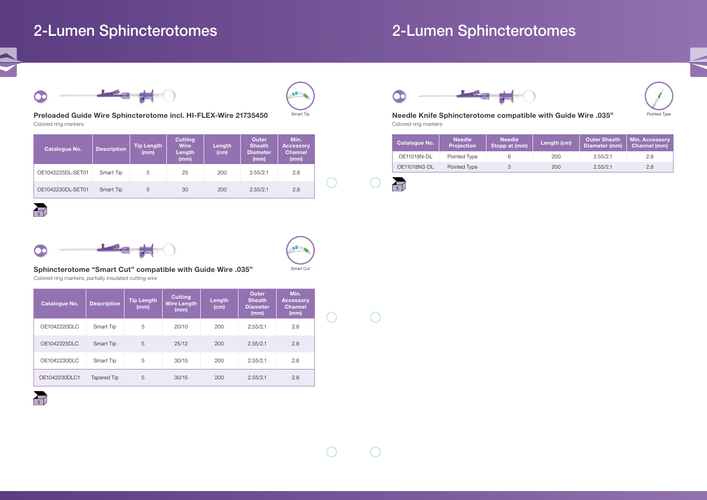Preloaded Guide Wire Sphincterotome incl. HI-FLEX-Wire 21735450 Colored ring markers

Sphincterotome "Smart Cut" compatible with Guide Wire .035" Colored ring markers; partially insulated cutting wire

Needle Knife Sphincterotome compatible with Guide Wire .035" Colored ring markers

Smart Tip

 $\bigcap$ 

 $\sum_{s}$ 

# Smart Cut

### 2-Lumen Sphincterotomes 2-Lumen Sphincterotomes



| <b>Catalogue No.</b> | <b>Description</b> | <b>Tip Length</b><br>(mm) | <b>Cutting</b><br><b>Wire</b><br>Length<br>(mm) | Length<br>(cm) | <b>Outer</b><br><b>Sheath</b><br><b>Diameter</b><br>(mm) | Min.<br><b>Accessory</b><br><b>Channel</b><br>(mm) |  |
|----------------------|--------------------|---------------------------|-------------------------------------------------|----------------|----------------------------------------------------------|----------------------------------------------------|--|
| OE1042225DL-SET01    | Smart Tip          | 5                         | 25                                              | 200            | 2.55/2.1                                                 | 2.8                                                |  |
| OE1042230DL-SET01    | Smart Tip          | 5                         | 30                                              | 200            | 2.55/2.1                                                 | 2.8                                                |  |



 $\sum_{s}$ 



| <b>Catalogue No.</b> | <b>Description</b> | <b>Tip Length</b><br>(mm) | <b>Cutting</b><br><b>Wire Length</b><br>(mm) | Length<br>(cm) | <b>Outer</b><br><b>Sheath</b><br><b>Diameter</b><br>(mm) | Min.<br><b>Accessory</b><br><b>Channel</b><br>(mm) |
|----------------------|--------------------|---------------------------|----------------------------------------------|----------------|----------------------------------------------------------|----------------------------------------------------|
| OE1042220DLC         | Smart Tip          | 5                         | 20/10                                        | 200            | 2.55/2.1                                                 | 2.8                                                |
| OE1042225DLC         | Smart Tip          | 5                         | 25/12                                        | 200            | 2.55/2.1                                                 | 2.8                                                |
| OE1042230DLC         | Smart Tip          | 5                         | 30/15                                        | 200            | 2.55/2.1                                                 | 2.8                                                |
| OE1042230DLC1        | Tapered Tip        | 5                         | 30/15                                        | 200            | 2.55/2.1                                                 | 2.8                                                |



| <b>Catalogue No.</b> | <b>Needle</b><br><b>Projection</b> | <b>Needle</b><br>Stopp at (mm) | Length (cm) | Outer Sheath<br>Diameter (mm) | <b>Min. Accessory</b><br><b>Channel (mm)</b> |
|----------------------|------------------------------------|--------------------------------|-------------|-------------------------------|----------------------------------------------|
| OE11018N-DL          | Pointed Type                       |                                | 200         | 2.55/2.1                      | 2.8                                          |
| OE11018N3-DL         | Pointed Type                       |                                | 200         | 2.55/2.1                      | 2.8                                          |

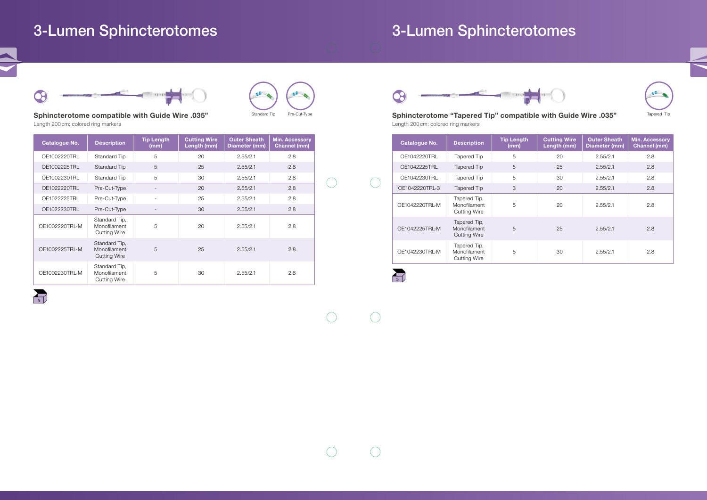# 3-Lumen Sphincterotomes 3-Lumen Sphincterotomes



Sphincterotome compatible with Guide Wire .035" Length 200 cm; colored ring markers

Standard Tip Pre-Cut-Type **Show the Standard Tip Compatible with Guide Wire .035"** Tapered Tip Tapered Tip Length 200 cm; colored ring markers

| <b>Catalogue No.</b> | <b>Description</b>                                   | <b>Tip Length</b><br>(mm) | <b>Cutting Wire</b><br>Length (mm) | <b>Outer Sheath</b><br>Diameter (mm) | <b>Min. Accessory</b><br><b>Channel (mm)</b> |
|----------------------|------------------------------------------------------|---------------------------|------------------------------------|--------------------------------------|----------------------------------------------|
| OE1002220TRL         | Standard Tip                                         | 5                         | 20                                 | 2.55/2.1                             | 2.8                                          |
| OE1002225TRL         | <b>Standard Tip</b>                                  | 5                         | 25                                 | 2.55/2.1                             | 2.8                                          |
| OE1002230TRL         | Standard Tip                                         | 5                         | 30                                 | 2.55/2.1                             | 2.8                                          |
| OE1022220TRL         | Pre-Cut-Type                                         |                           | 20                                 | 2.55/2.1                             | 2.8                                          |
| OE1022225TRL         | Pre-Cut-Type                                         | $\overline{\phantom{a}}$  | 25                                 | 2.55/2.1                             | 2.8                                          |
| OE1022230TRL         | Pre-Cut-Type                                         |                           | 30                                 | 2.55/2.1                             | 2.8                                          |
| OE1002220TRL-M       | Standard Tip,<br>Monofilament<br><b>Cutting Wire</b> | 5                         | 20                                 | 2.55/2.1                             | 2.8                                          |
| OE1002225TRL-M       | Standard Tip.<br>Monofilament<br><b>Cutting Wire</b> | 5                         | 25                                 | 2.55/2.1                             | 2.8                                          |
| OE1002230TRL-M       | Standard Tip,<br>Monofilament<br><b>Cutting Wire</b> | 5                         | 30                                 | 2.55/2.1                             | 2.8                                          |





| <b>Catalogue No.</b> | <b>Description</b>                                  | <b>Tip Length</b><br>(mm) | <b>Cutting Wire</b><br>Length (mm) | <b>Outer Sheath</b><br>Diameter (mm) | <b>Min. Accessory</b><br><b>Channel (mm)</b> |
|----------------------|-----------------------------------------------------|---------------------------|------------------------------------|--------------------------------------|----------------------------------------------|
| OE1042220TRL         | <b>Tapered Tip</b>                                  | 5                         | 20                                 | 2.55/2.1                             | 2.8                                          |
| OE1042225TRL         | <b>Tapered Tip</b>                                  | 5                         | 25                                 | 2.55/2.1                             | 2.8                                          |
| OE1042230TRL         | <b>Tapered Tip</b>                                  | 5                         | 30                                 | 2.55/2.1                             | 2.8                                          |
| OE1042220TRL-3       | <b>Tapered Tip</b>                                  | 3                         | 20                                 | 2.55/2.1                             | 2.8                                          |
| OE1042220TRL-M       | Tapered Tip,<br>Monofilament<br><b>Cutting Wire</b> | 5                         | 20                                 | 2.55/2.1                             | 2.8                                          |
| OE1042225TRL-M       | Tapered Tip,<br>Monofilament<br><b>Cutting Wire</b> | 5                         | 25                                 | 2.55/2.1                             | 2.8                                          |
| OE1042230TRL-M       | Tapered Tip,<br>Monofilament<br><b>Cutting Wire</b> | 5                         | 30                                 | 2.55/2.1                             | 2.8                                          |

 $\bigcap$ 

 $\bigcap$